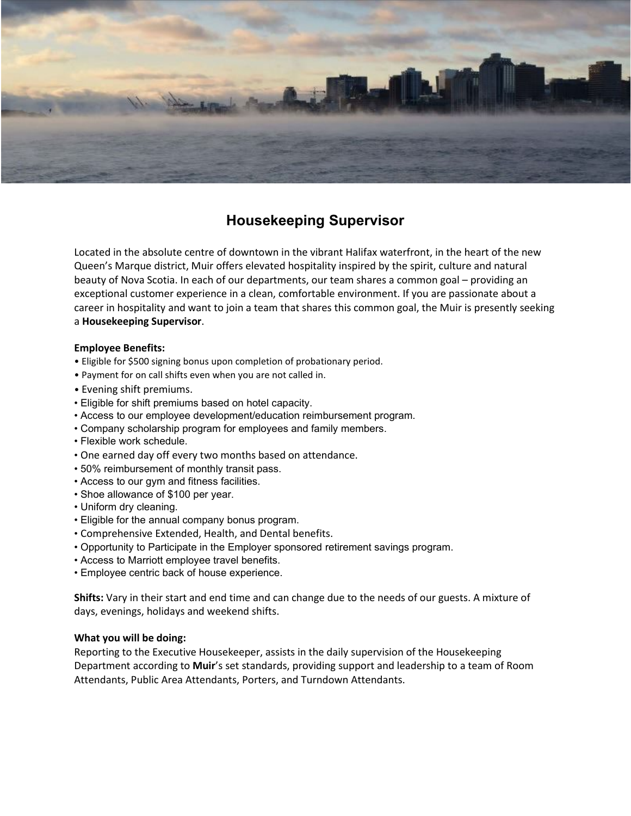

# **Housekeeping Supervisor**

Located in the absolute centre of downtown in the vibrant Halifax waterfront, in the heart of the new Queen's Marque district, Muir offers elevated hospitality inspired by the spirit, culture and natural beauty of Nova Scotia. In each of our departments, our team shares a common goal – providing an exceptional customer experience in a clean, comfortable environment. If you are passionate about a career in hospitality and want to join a team that shares this common goal, the Muir is presently seeking a **Housekeeping Supervisor**.

### **Employee Benefits:**

- Eligible for \$500 signing bonus upon completion of probationary period.
- Payment for on call shifts even when you are not called in.
- Evening shift premiums.
- Eligible for shift premiums based on hotel capacity.
- Access to our employee development/education reimbursement program.
- Company scholarship program for employees and family members.
- Flexible work schedule.
- One earned day off every two months based on attendance.
- 50% reimbursement of monthly transit pass.
- Access to our gym and fitness facilities.
- Shoe allowance of \$100 per year.
- Uniform dry cleaning.
- Eligible for the annual company bonus program.
- Comprehensive Extended, Health, and Dental benefits.
- Opportunity to Participate in the Employer sponsored retirement savings program.
- Access to Marriott employee travel benefits.
- Employee centric back of house experience.

**Shifts:** Vary in their start and end time and can change due to the needs of our guests. A mixture of days, evenings, holidays and weekend shifts.

#### **What you will be doing:**

Reporting to the Executive Housekeeper, assists in the daily supervision of the Housekeeping Department according to **Muir**'s set standards, providing support and leadership to a team of Room Attendants, Public Area Attendants, Porters, and Turndown Attendants.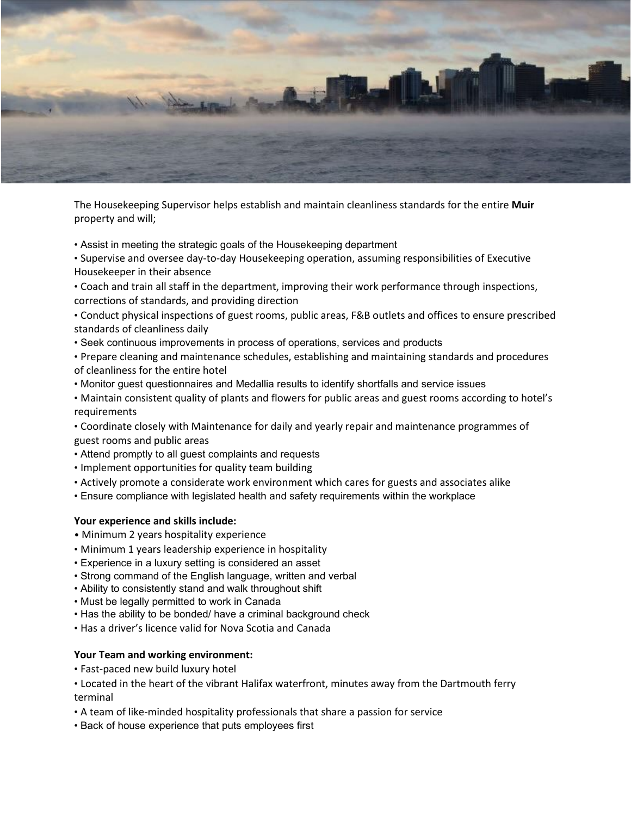

The Housekeeping Supervisor helps establish and maintain cleanliness standards for the entire **Muir**  property and will;

- Assist in meeting the strategic goals of the Housekeeping department
- Supervise and oversee day-to-day Housekeeping operation, assuming responsibilities of Executive Housekeeper in their absence
- Coach and train all staff in the department, improving their work performance through inspections, corrections of standards, and providing direction
- Conduct physical inspections of guest rooms, public areas, F&B outlets and offices to ensure prescribed standards of cleanliness daily
- Seek continuous improvements in process of operations, services and products
- Prepare cleaning and maintenance schedules, establishing and maintaining standards and procedures of cleanliness for the entire hotel
- Monitor guest questionnaires and Medallia results to identify shortfalls and service issues
- Maintain consistent quality of plants and flowers for public areas and guest rooms according to hotel's requirements

• Coordinate closely with Maintenance for daily and yearly repair and maintenance programmes of guest rooms and public areas

- Attend promptly to all guest complaints and requests
- Implement opportunities for quality team building
- Actively promote a considerate work environment which cares for guests and associates alike
- Ensure compliance with legislated health and safety requirements within the workplace

#### **Your experience and skills include:**

- Minimum 2 years hospitality experience
- Minimum 1 years leadership experience in hospitality
- Experience in a luxury setting is considered an asset
- Strong command of the English language, written and verbal
- Ability to consistently stand and walk throughout shift
- Must be legally permitted to work in Canada
- Has the ability to be bonded/ have a criminal background check
- Has a driver's licence valid for Nova Scotia and Canada

## **Your Team and working environment:**

- Fast-paced new build luxury hotel
- Located in the heart of the vibrant Halifax waterfront, minutes away from the Dartmouth ferry terminal
- A team of like-minded hospitality professionals that share a passion for service
- Back of house experience that puts employees first